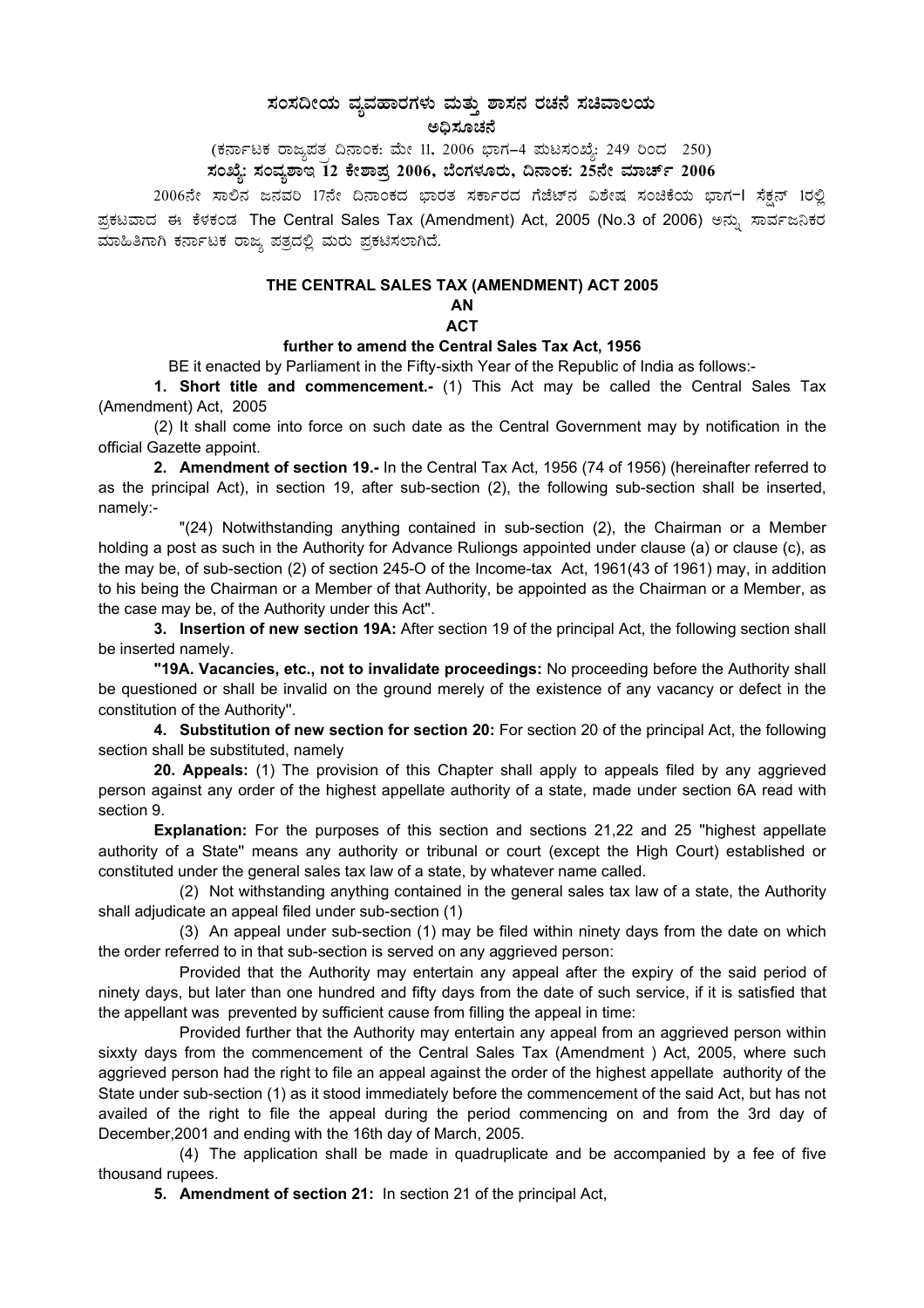# $\bm{z}$ ನಂಸದೀಯ ವ್ಯವಹಾರಗಳು ಮತ್ತು ಶಾಸನ ರಚನೆ ಸಚಿವಾಲಯ

ಅಧಿಸೂಚನೆ

(ಕರ್ನಾಟಕ ರಾಜ್ಯಪತ<sub>,</sub> ದಿನಾಂಕ: ಮೇ 11, 2006 ಭಾಗ–4 ಮಟಸಂಖ್ಯೆ: 249 ರಿಂದ 250)

## ಸಂಖ್ಯೆ: ಸಂವ್ಯಶಾಇ 12 ಕೇಶಾಪ್ರ 2006, ಬೆಂಗಳೂರು, ದಿನಾಂಕ: 25ನೇ ಮಾರ್ಚ್ 2006

2006ನೇ ಸಾಲಿನ ಜನವರಿ 17ನೇ ದಿನಾಂಕದ ಭಾರತ ಸರ್ಕಾರದ ಗೆಜೆಟ್ನ ವಿಶೇಷ ಸಂಚಿಕೆಯ ಭಾಗ−l ಸೆಕ್ಷನ್ 1ರಲ್ಲಿ ಪ್ರಕಟವಾದ ಈ ಕೆಳಕಂಡ The Central Sales Tax (Amendment) Act, 2005 (No.3 of 2006) ಅನ್ನು ಸಾರ್ವಜನಿಕರ ಮಾಹಿತಿಗಾಗಿ ಕರ್ನಾಟಕ ರಾಜ್ಯ ಪತ್ರದಲ್ಲಿ ಮರು ಪ್ರಕಟಿಸಲಾಗಿದೆ.

#### **THE CENTRAL SALES TAX (AMENDMENT) ACT 2005**

### **AN**

**ACT** 

#### **further to amend the Central Sales Tax Act, 1956**

BE it enacted by Parliament in the Fifty-sixth Year of the Republic of India as follows:-

**1. Short title and commencement.-** (1) This Act may be called the Central Sales Tax (Amendment) Act, 2005

(2) It shall come into force on such date as the Central Government may by notification in the official Gazette appoint.

**2. Amendment of section 19.-** In the Central Tax Act, 1956 (74 of 1956) (hereinafter referred to as the principal Act), in section 19, after sub-section (2), the following sub-section shall be inserted, namely:-

"(24) Notwithstanding anything contained in sub-section (2), the Chairman or a Member holding a post as such in the Authority for Advance Ruliongs appointed under clause (a) or clause (c), as the may be, of sub-section (2) of section 245-O of the Income-tax Act, 1961(43 of 1961) may, in addition to his being the Chairman or a Member of that Authority, be appointed as the Chairman or a Member, as the case may be, of the Authority under this Act''.

**3. Insertion of new section 19A:** After section 19 of the principal Act, the following section shall be inserted namely.

**"19A. Vacancies, etc., not to invalidate proceedings:** No proceeding before the Authority shall be questioned or shall be invalid on the ground merely of the existence of any vacancy or defect in the constitution of the Authority''.

**4. Substitution of new section for section 20:** For section 20 of the principal Act, the following section shall be substituted, namely

**20. Appeals:** (1) The provision of this Chapter shall apply to appeals filed by any aggrieved person against any order of the highest appellate authority of a state, made under section 6A read with section 9.

**Explanation:** For the purposes of this section and sections 21,22 and 25 ''highest appellate authority of a State'' means any authority or tribunal or court (except the High Court) established or constituted under the general sales tax law of a state, by whatever name called.

(2) Not withstanding anything contained in the general sales tax law of a state, the Authority shall adjudicate an appeal filed under sub-section (1)

(3) An appeal under sub-section (1) may be filed within ninety days from the date on which the order referred to in that sub-section is served on any aggrieved person:

Provided that the Authority may entertain any appeal after the expiry of the said period of ninety days, but later than one hundred and fifty days from the date of such service, if it is satisfied that the appellant was prevented by sufficient cause from filling the appeal in time:

Provided further that the Authority may entertain any appeal from an aggrieved person within sixxty days from the commencement of the Central Sales Tax (Amendment ) Act, 2005, where such aggrieved person had the right to file an appeal against the order of the highest appellate authority of the State under sub-section (1) as it stood immediately before the commencement of the said Act, but has not availed of the right to file the appeal during the period commencing on and from the 3rd day of December,2001 and ending with the 16th day of March, 2005.

(4) The application shall be made in quadruplicate and be accompanied by a fee of five thousand rupees.

**5. Amendment of section 21:** In section 21 of the principal Act,